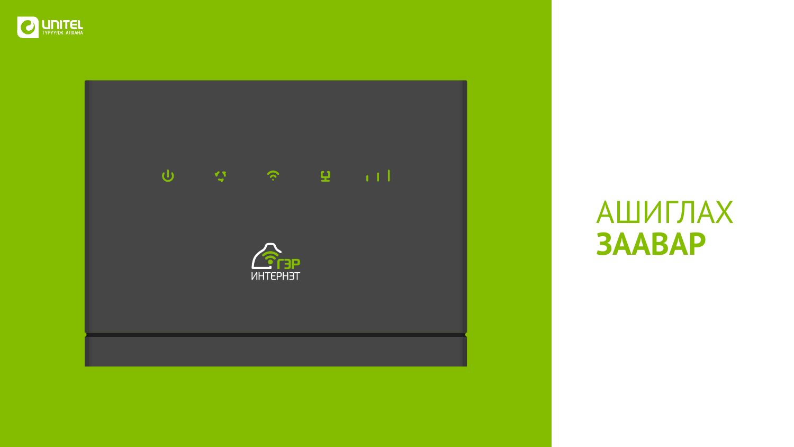



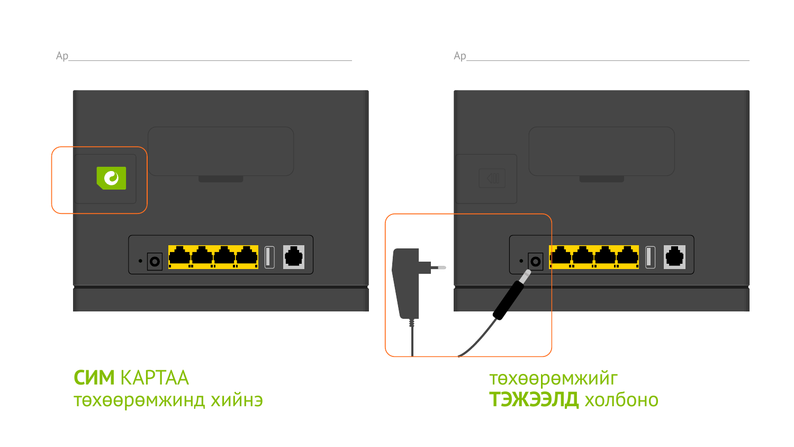#### **CMM KAPTAA** төхөөрөмжинд хийнэ





# төхөөрөмжийг ТЭЖЭЭЛД холбоно



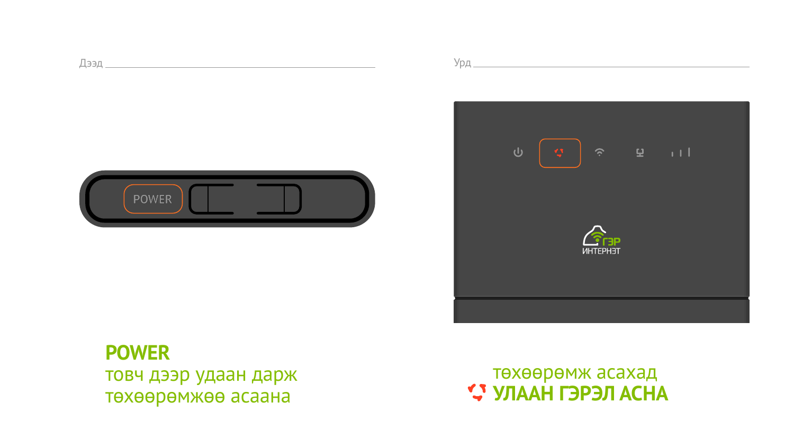



#### төхөөрөмж асахад **УЛААН ГЭРЭЛ АСНА**



# **POWER** товч дээр удаан дарж төхөөрөмжөө асаана



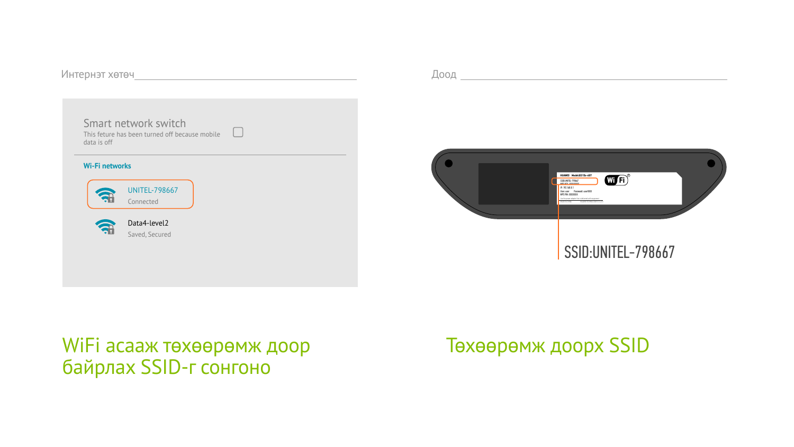#### SSID:UNITEL-798667



Интернэт хөтөч

# WiFi асааж төхөөрөмж доор байрлах SSID-г сонгоно

# Төхөөрөмж доорх SSID

Доод

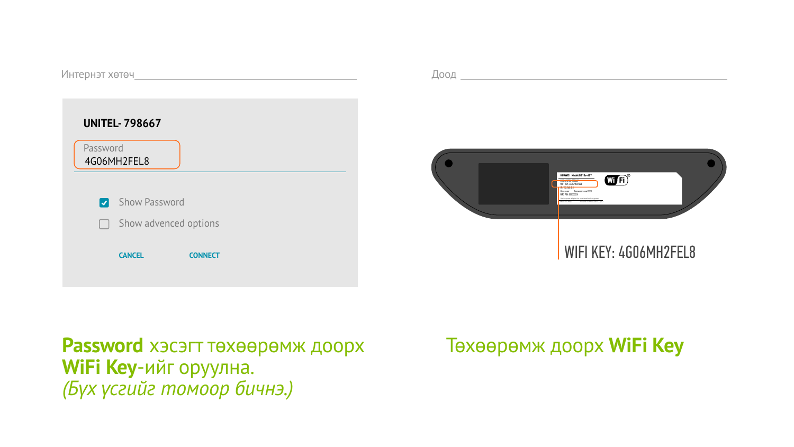#### WIFI KEY: 4G06MH2FEL8



Интернэт хөтөч

#### **Password** хэсэгт төхөөрөмж доорх **WiFi Key**-ийг оруулна. *(Бүх үсгийг томоор бичнэ.)*

# Төхөөрөмж доорх **WiFi Key**

| <b>UNITEL-798667</b>    |                       |                |
|-------------------------|-----------------------|----------------|
| Password<br>4G06MH2FEL8 |                       |                |
|                         |                       |                |
| $ \mathcal{Y} $         | <b>Show Password</b>  |                |
| $\Box$                  | Show advenced options |                |
|                         | <b>CANCEL</b>         | <b>CONNECT</b> |

Доод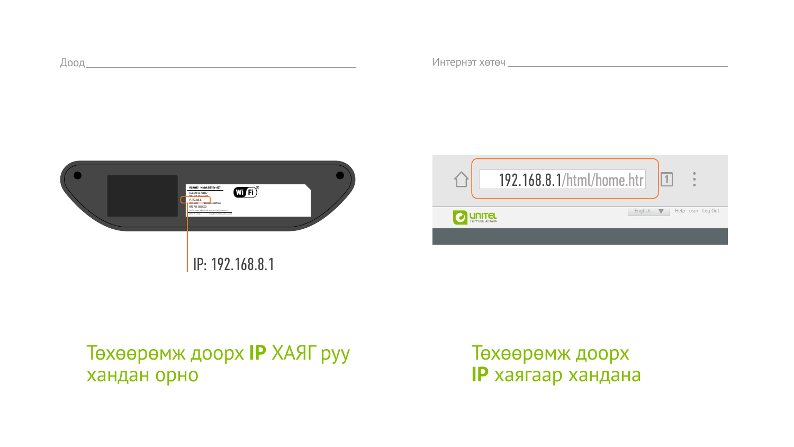

# Төхөөрөмж доорх **IP** ХАЯГ руу хандан орно

#### IP: 192.168.8.1



| Интернэт хөтөч |  |
|----------------|--|

# Төхөөрөмж доорх **IP** хаягаар хандана

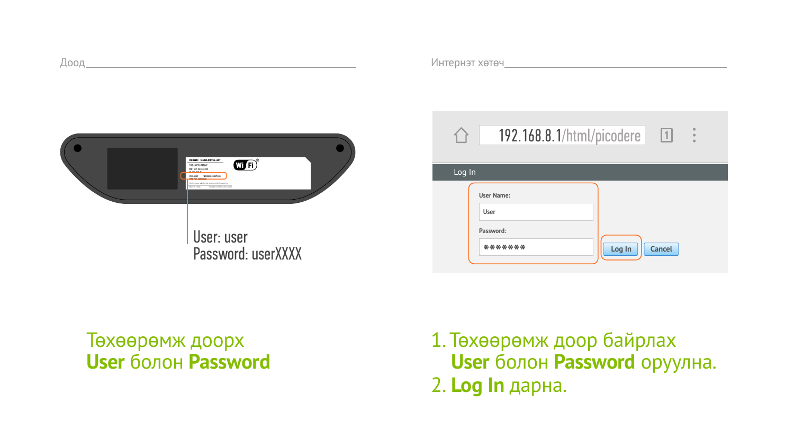

#### Төхөөрөмж доорх **User** болон **Password**

#### User: user Password: userXXXX



# 1. Төхөөрөмж доор байрлах  **User** болон **Password** оруулна. 2. **Log In** дарна.

|        | $\bullet$<br>192.168.8.1/html/picodere<br> 1 <br>$\bullet$<br>$\bullet$             |
|--------|-------------------------------------------------------------------------------------|
| Log In |                                                                                     |
|        | <b>User Name:</b><br><b>User</b><br>Password:<br>*******<br>Log In<br><b>Cancel</b> |